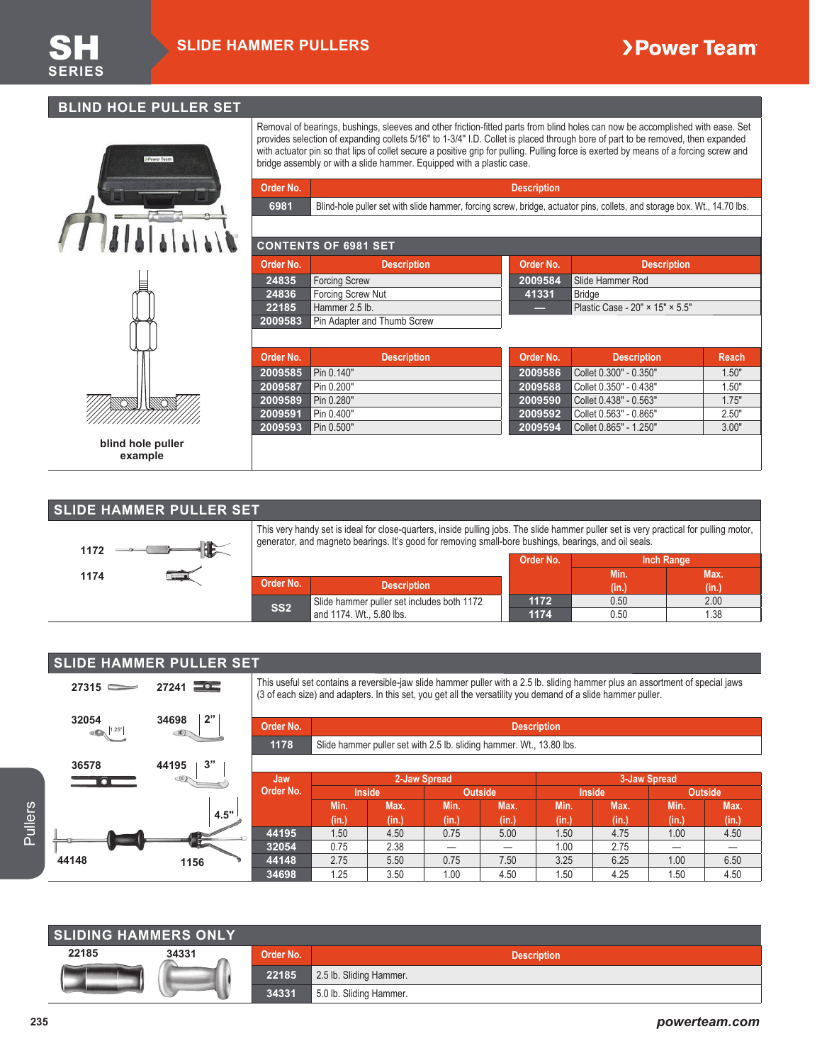**2009591** Pin 0.400" **2009593** Pin 0.500" **2009592** Collet 0.563" - 0.865" 2.50" **2009594** Collet 0.865" - 1.250" 3.00"

### **BLIND HOLE PULLER SET**



**blind hole puller example**

Removal of bearings, bushings, sleeves and other friction-fitted parts from blind holes can now be accomplished with ease. Set provides selection of expanding collets 5/16" to 1-3/4" I.D. Collet is placed through bore of part to be removed, then expanded with actuator pin so that lips of collet secure a positive grip for pulling. Pulling force is exerted by means of a forcing screw and bridge assembly or with a slide hammer. Equipped with a plastic case.

| Order No. |                                                                                                                          | <b>Description</b> |                                 |       |
|-----------|--------------------------------------------------------------------------------------------------------------------------|--------------------|---------------------------------|-------|
| 6981      | Blind-hole puller set with slide hammer, forcing screw, bridge, actuator pins, collets, and storage box. Wt., 14.70 lbs. |                    |                                 |       |
|           |                                                                                                                          |                    |                                 |       |
|           | <b>CONTENTS OF 6981 SET</b>                                                                                              |                    |                                 |       |
| Order No. | <b>Description</b>                                                                                                       | Order No.          | <b>Description</b>              |       |
| 24835     | <b>Forcing Screw</b>                                                                                                     | 2009584            | Slide Hammer Rod                |       |
| 24836     | Forcing Screw Nut                                                                                                        | 41331              | <b>Bridge</b>                   |       |
| 22185     | Hammer 2.5 lb.                                                                                                           |                    | Plastic Case - 20" × 15" × 5.5" |       |
| 2009583   | Pin Adapter and Thumb Screw                                                                                              |                    |                                 |       |
|           |                                                                                                                          |                    |                                 |       |
| Order No. | <b>Description</b>                                                                                                       | Order No.          | <b>Description</b>              | Reach |
| 2009585   | Pin 0.140"                                                                                                               | 2009586            | Collet 0.300" - 0.350"          | 1.50" |
| 2009587   | Pin 0.200"                                                                                                               | 2009588            | Collet 0.350" - 0.438"          | 1.50" |
| 2009589   | Pin 0.280"                                                                                                               | 2009590            | Collet 0.438" - 0.563"          | 1.75" |

### **SLIDE HAMMER PULLER SET**



| 1172 | This very handy set is ideal for close-quarters, inside pulling jobs. The slide hammer puller set is very practical for pulling motor,<br>generator, and magneto bearings. It's good for removing small-bore bushings, bearings, and oil seals. |                   |
|------|-------------------------------------------------------------------------------------------------------------------------------------------------------------------------------------------------------------------------------------------------|-------------------|
|      | Order No.                                                                                                                                                                                                                                       | <b>Inch Range</b> |

|                 |                                            | <b>VIMMITTM</b> | <b>THAT PARTIA</b> |       |
|-----------------|--------------------------------------------|-----------------|--------------------|-------|
|                 |                                            |                 | . Min!             | Max.  |
| Order No.       | <b>Description</b>                         |                 | Yima               | (in.) |
| SS <sub>2</sub> | Slide hammer puller set includes both 1172 | 1172            | 0.50               | 2.00  |
|                 | and 1174. Wt., 5.80 lbs.                   | 1174            | 0.50               | 1.38  |

|                           | <b>SLIDE HAMMER PULLER SET</b> |           |       |               |              |                                                                                                                                                                                                                                                |               |              |       |         |
|---------------------------|--------------------------------|-----------|-------|---------------|--------------|------------------------------------------------------------------------------------------------------------------------------------------------------------------------------------------------------------------------------------------------|---------------|--------------|-------|---------|
| $27315$ $\longrightarrow$ | $27241 = 2$                    |           |       |               |              | This useful set contains a reversible-jaw slide hammer puller with a 2.5 lb. sliding hammer plus an assortment of special jaws<br>(3 of each size) and adapters. In this set, you get all the versatility you demand of a slide hammer puller. |               |              |       |         |
| 32054                     | 2"<br>34698                    | Order No. |       |               |              | <b>Description</b>                                                                                                                                                                                                                             |               |              |       |         |
|                           |                                | 1178      |       |               |              | Slide hammer puller set with 2.5 lb. sliding hammer. Wt., 13.80 lbs.                                                                                                                                                                           |               |              |       |         |
| 36578                     | 3"<br>44195                    |           |       |               |              |                                                                                                                                                                                                                                                |               |              |       |         |
|                           |                                | Jaw/      |       |               | 2-Jaw Spread |                                                                                                                                                                                                                                                |               | 3-Jaw Spread |       |         |
|                           |                                | Order No. |       | <b>Inside</b> |              | Outside                                                                                                                                                                                                                                        | <b>Inside</b> |              |       | Outside |
|                           |                                |           | Min.  | Max.          | Min.         | Max.                                                                                                                                                                                                                                           | Min.          | Max.         | Min.  | Max.    |
|                           | 4.5"                           |           | (in.) | (in.)         | (in.)        | (in.)                                                                                                                                                                                                                                          | (in.)         | (in.)        | (in.) | (in.)   |
|                           |                                | 44195     | 1.50  | 4.50          | 0.75         | 5.00                                                                                                                                                                                                                                           | 1.50          | 4.75         | 1.00  | 4.50    |
|                           |                                | 32054     | 0.75  | 2.38          |              |                                                                                                                                                                                                                                                | 1.00          | 2.75         |       |         |
| 44148                     | 1156                           | 44148     | 2.75  | 5.50          | 0.75         | 7.50                                                                                                                                                                                                                                           | 3.25          | 6.25         | 1.00  | 6.50    |
|                           |                                | 34698     | 1.25  | 3.50          | 1.00         | 4.50                                                                                                                                                                                                                                           | 1.50          | 4.25         | 1.50  | 4.50    |

|         |                             |       |           | Min.                    | Max.  | Min.  | Max.  | Min.               | Max.  | Min.  | Max.  |
|---------|-----------------------------|-------|-----------|-------------------------|-------|-------|-------|--------------------|-------|-------|-------|
| Pullers |                             | 4.5"  |           | (in.)                   | (in.) | (in.) | (in.) | (in.)              | (in.) | (in.) | (in.) |
|         |                             |       | 44195     | 1.50                    | 4.50  | 0.75  | 5.00  | 1.50               | 4.75  | 1.00  | 4.50  |
|         |                             |       | 32054     | 0.75                    | 2.38  |       |       | 1.00               | 2.75  | —     |       |
|         | 44148                       | 1156  | 44148     | 2.75                    | 5.50  | 0.75  | 7.50  | 3.25               | 6.25  | 1.00  | 6.50  |
|         |                             |       | 34698     | 1.25                    | 3.50  | 1.00  | 4.50  | 1.50               | 4.25  | 1.50  | 4.50  |
|         |                             |       |           |                         |       |       |       |                    |       |       |       |
|         |                             |       |           |                         |       |       |       |                    |       |       |       |
|         |                             |       |           |                         |       |       |       |                    |       |       |       |
|         |                             |       |           |                         |       |       |       |                    |       |       |       |
|         |                             |       |           |                         |       |       |       |                    |       |       |       |
|         | <b>SLIDING HAMMERS ONLY</b> |       |           |                         |       |       |       |                    |       |       |       |
|         | 22185                       | 34331 | Order No. |                         |       |       |       | <b>Description</b> |       |       |       |
|         |                             |       | 22185     | 2.5 lb. Sliding Hammer. |       |       |       |                    |       |       |       |
|         |                             |       | 34331     | 5.0 lb. Sliding Hammer. |       |       |       |                    |       |       |       |